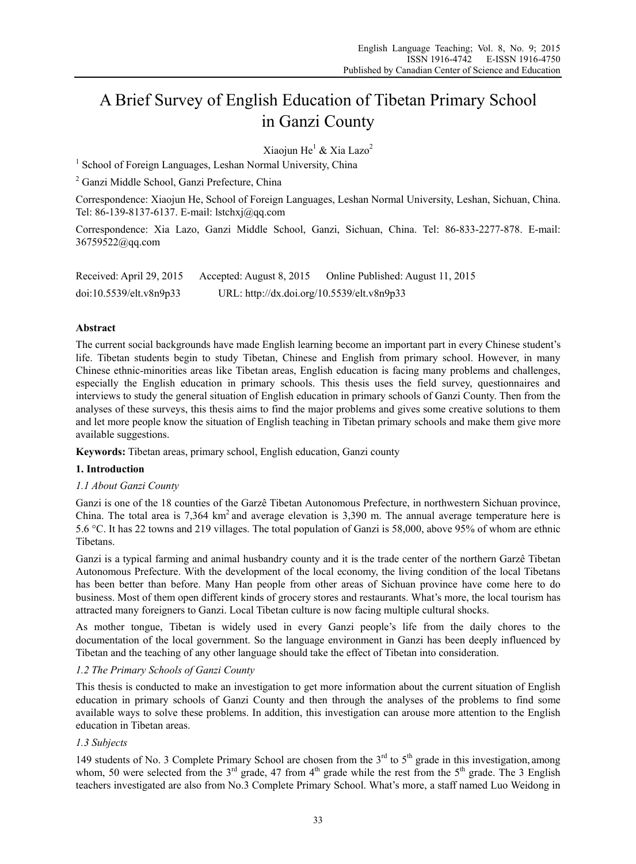# A Brief Survey of English Education of Tibetan Primary School in Ganzi County

Xiaojun He<sup>1</sup> & Xia Lazo<sup>2</sup>

<sup>1</sup> School of Foreign Languages, Leshan Normal University, China

2 Ganzi Middle School, Ganzi Prefecture, China

Correspondence: Xiaojun He, School of Foreign Languages, Leshan Normal University, Leshan, Sichuan, China. Tel: 86-139-8137-6137. E-mail: lstchxj@qq.com

Correspondence: Xia Lazo, Ganzi Middle School, Ganzi, Sichuan, China. Tel: 86-833-2277-878. E-mail: 36759522@qq.com

Received: April 29, 2015 Accepted: August 8, 2015 Online Published: August 11, 2015 doi:10.5539/elt.v8n9p33 URL: http://dx.doi.org/10.5539/elt.v8n9p33

# **Abstract**

The current social backgrounds have made English learning become an important part in every Chinese student's life. Tibetan students begin to study Tibetan, Chinese and English from primary school. However, in many Chinese ethnic-minorities areas like Tibetan areas, English education is facing many problems and challenges, especially the English education in primary schools. This thesis uses the field survey, questionnaires and interviews to study the general situation of English education in primary schools of Ganzi County. Then from the analyses of these surveys, this thesis aims to find the major problems and gives some creative solutions to them and let more people know the situation of English teaching in Tibetan primary schools and make them give more available suggestions.

**Keywords:** Tibetan areas, primary school, English education, Ganzi county

# **1. Introduction**

# *1.1 About Ganzi County*

Ganzi is one of the 18 counties of the Garzê Tibetan Autonomous Prefecture, in northwestern Sichuan province, China. The total area is 7,364 km<sup>2</sup> and average elevation is 3,390 m. The annual average temperature here is 5.6 °C. It has 22 towns and 219 villages. The total population of Ganzi is 58,000, above 95% of whom are ethnic Tibetans.

Ganzi is a typical farming and animal husbandry county and it is the trade center of the northern Garzê Tibetan Autonomous Prefecture. With the development of the local economy, the living condition of the local Tibetans has been better than before. Many Han people from other areas of Sichuan province have come here to do business. Most of them open different kinds of grocery stores and restaurants. What's more, the local tourism has attracted many foreigners to Ganzi. Local Tibetan culture is now facing multiple cultural shocks.

As mother tongue, Tibetan is widely used in every Ganzi people's life from the daily chores to the documentation of the local government. So the language environment in Ganzi has been deeply influenced by Tibetan and the teaching of any other language should take the effect of Tibetan into consideration.

# *1.2 The Primary Schools of Ganzi County*

This thesis is conducted to make an investigation to get more information about the current situation of English education in primary schools of Ganzi County and then through the analyses of the problems to find some available ways to solve these problems. In addition, this investigation can arouse more attention to the English education in Tibetan areas.

# *1.3 Subjects*

149 students of No. 3 Complete Primary School are chosen from the  $3<sup>rd</sup>$  to  $5<sup>th</sup>$  grade in this investigation, among whom, 50 were selected from the  $3<sup>rd</sup>$  grade, 47 from 4<sup>th</sup> grade while the rest from the 5<sup>th</sup> grade. The 3 English teachers investigated are also from No.3 Complete Primary School. What's more, a staff named Luo Weidong in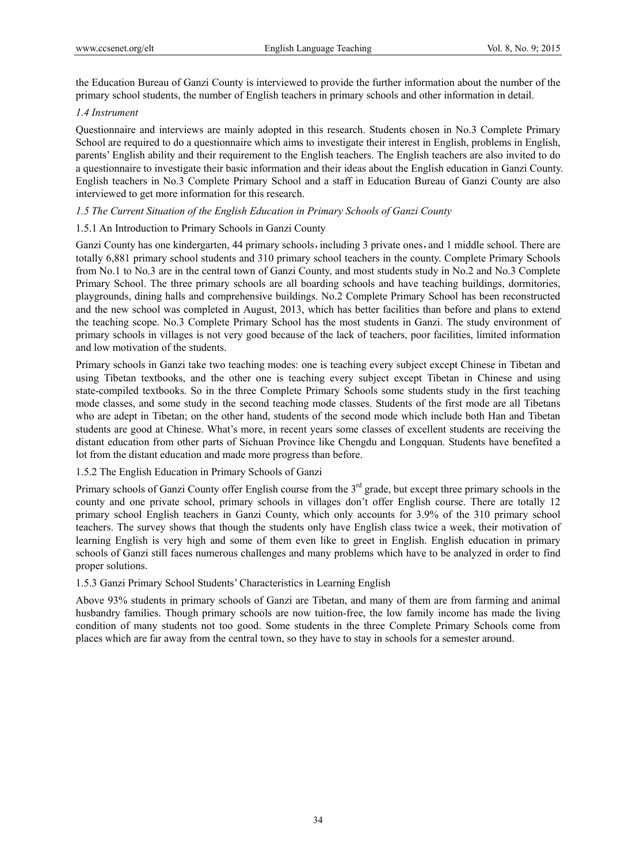the Education Bureau of Ganzi County is interviewed to provide the further information about the number of the primary school students, the number of English teachers in primary schools and other information in detail.

# *1.4 Instrument*

Questionnaire and interviews are mainly adopted in this research. Students chosen in No.3 Complete Primary School are required to do a questionnaire which aims to investigate their interest in English, problems in English, parents' English ability and their requirement to the English teachers. The English teachers are also invited to do a questionnaire to investigate their basic information and their ideas about the English education in Ganzi County. English teachers in No.3 Complete Primary School and a staff in Education Bureau of Ganzi County are also interviewed to get more information for this research.

# *1.5 The Current Situation of the English Education in Primary Schools of Ganzi County*

# 1.5.1 An Introduction to Primary Schools in Ganzi County

Ganzi County has one kindergarten, 44 primary schools, including 3 private ones, and 1 middle school. There are totally 6,881 primary school students and 310 primary school teachers in the county. Complete Primary Schools from No.1 to No.3 are in the central town of Ganzi County, and most students study in No.2 and No.3 Complete Primary School. The three primary schools are all boarding schools and have teaching buildings, dormitories, playgrounds, dining halls and comprehensive buildings. No.2 Complete Primary School has been reconstructed and the new school was completed in August, 2013, which has better facilities than before and plans to extend the teaching scope. No.3 Complete Primary School has the most students in Ganzi. The study environment of primary schools in villages is not very good because of the lack of teachers, poor facilities, limited information and low motivation of the students.

Primary schools in Ganzi take two teaching modes: one is teaching every subject except Chinese in Tibetan and using Tibetan textbooks, and the other one is teaching every subject except Tibetan in Chinese and using state-compiled textbooks. So in the three Complete Primary Schools some students study in the first teaching mode classes, and some study in the second teaching mode classes. Students of the first mode are all Tibetans who are adept in Tibetan; on the other hand, students of the second mode which include both Han and Tibetan students are good at Chinese. What's more, in recent years some classes of excellent students are receiving the distant education from other parts of Sichuan Province like Chengdu and Longquan. Students have benefited a lot from the distant education and made more progress than before.

# 1.5.2 The English Education in Primary Schools of Ganzi

Primary schools of Ganzi County offer English course from the 3<sup>rd</sup> grade, but except three primary schools in the county and one private school, primary schools in villages don't offer English course. There are totally 12 primary school English teachers in Ganzi County, which only accounts for 3.9% of the 310 primary school teachers. The survey shows that though the students only have English class twice a week, their motivation of learning English is very high and some of them even like to greet in English. English education in primary schools of Ganzi still faces numerous challenges and many problems which have to be analyzed in order to find proper solutions.

# 1.5.3 Ganzi Primary School Students' Characteristics in Learning English

Above 93% students in primary schools of Ganzi are Tibetan, and many of them are from farming and animal husbandry families. Though primary schools are now tuition-free, the low family income has made the living condition of many students not too good. Some students in the three Complete Primary Schools come from places which are far away from the central town, so they have to stay in schools for a semester around.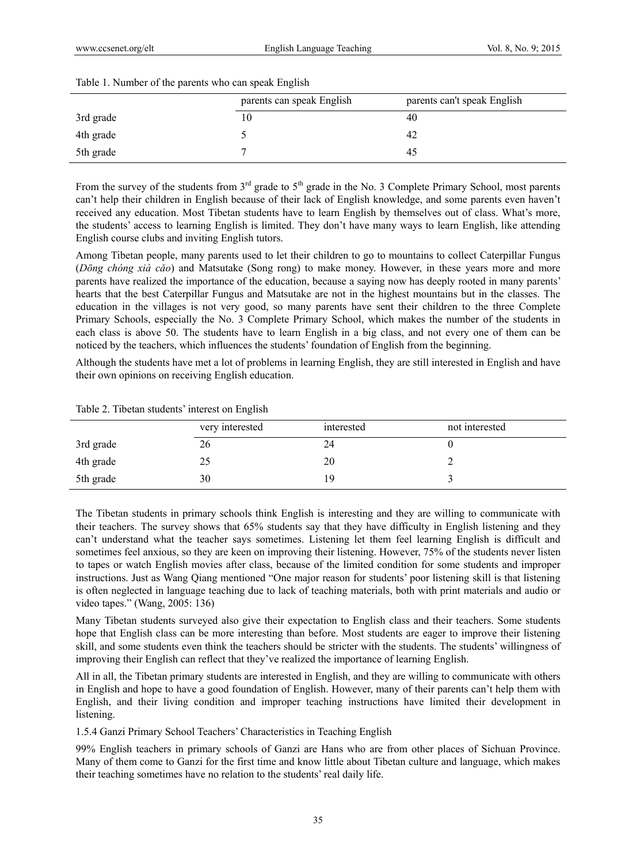|           | parents can speak English | parents can't speak English |
|-----------|---------------------------|-----------------------------|
| 3rd grade | 10                        | 40                          |
| 4th grade |                           | 42                          |
| 5th grade |                           | 45                          |

#### Table 1. Number of the parents who can speak English

From the survey of the students from  $3<sup>rd</sup>$  grade to  $5<sup>th</sup>$  grade in the No. 3 Complete Primary School, most parents can't help their children in English because of their lack of English knowledge, and some parents even haven't received any education. Most Tibetan students have to learn English by themselves out of class. What's more, the students' access to learning English is limited. They don't have many ways to learn English, like attending English course clubs and inviting English tutors.

Among Tibetan people, many parents used to let their children to go to mountains to collect Caterpillar Fungus (*Dōng chóng xià cǎo*) and Matsutake (Song rong) to make money. However, in these years more and more parents have realized the importance of the education, because a saying now has deeply rooted in many parents' hearts that the best Caterpillar Fungus and Matsutake are not in the highest mountains but in the classes. The education in the villages is not very good, so many parents have sent their children to the three Complete Primary Schools, especially the No. 3 Complete Primary School, which makes the number of the students in each class is above 50. The students have to learn English in a big class, and not every one of them can be noticed by the teachers, which influences the students' foundation of English from the beginning.

Although the students have met a lot of problems in learning English, they are still interested in English and have their own opinions on receiving English education.

|           | very interested | interested | not interested |
|-----------|-----------------|------------|----------------|
| 3rd grade | 26              | 24         |                |
| 4th grade | 25              | 20         |                |
| 5th grade | 30              | <b>Q</b>   |                |

Table 2. Tibetan students' interest on English

The Tibetan students in primary schools think English is interesting and they are willing to communicate with their teachers. The survey shows that 65% students say that they have difficulty in English listening and they can't understand what the teacher says sometimes. Listening let them feel learning English is difficult and sometimes feel anxious, so they are keen on improving their listening. However, 75% of the students never listen to tapes or watch English movies after class, because of the limited condition for some students and improper instructions. Just as Wang Qiang mentioned "One major reason for students' poor listening skill is that listening is often neglected in language teaching due to lack of teaching materials, both with print materials and audio or video tapes." (Wang, 2005: 136)

Many Tibetan students surveyed also give their expectation to English class and their teachers. Some students hope that English class can be more interesting than before. Most students are eager to improve their listening skill, and some students even think the teachers should be stricter with the students. The students' willingness of improving their English can reflect that they've realized the importance of learning English.

All in all, the Tibetan primary students are interested in English, and they are willing to communicate with others in English and hope to have a good foundation of English. However, many of their parents can't help them with English, and their living condition and improper teaching instructions have limited their development in listening.

1.5.4 Ganzi Primary School Teachers' Characteristics in Teaching English

99% English teachers in primary schools of Ganzi are Hans who are from other places of Sichuan Province. Many of them come to Ganzi for the first time and know little about Tibetan culture and language, which makes their teaching sometimes have no relation to the students' real daily life.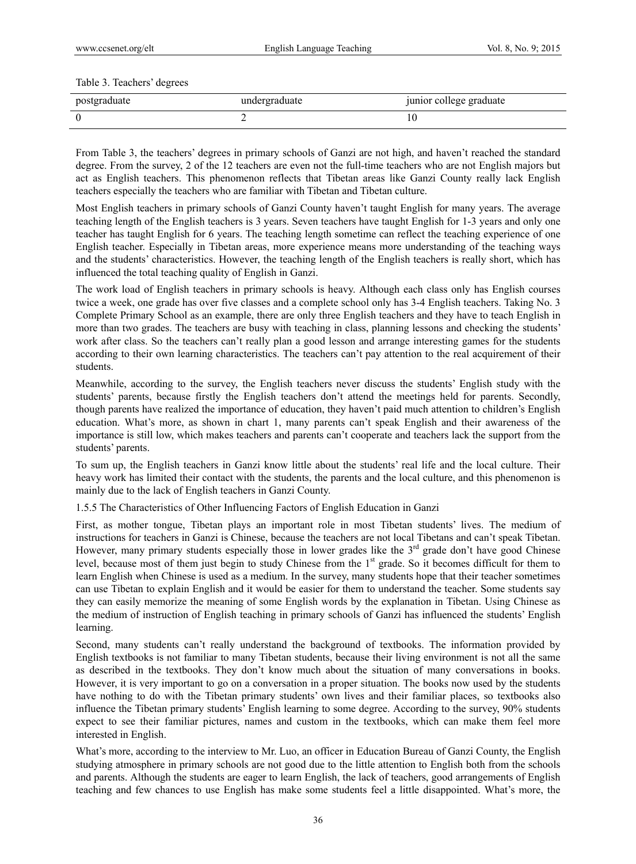#### Table 3. Teachers' degrees

| postgraduate | undergraduate | junior college graduate |
|--------------|---------------|-------------------------|
|              |               | ١U                      |

From Table 3, the teachers' degrees in primary schools of Ganzi are not high, and haven't reached the standard degree. From the survey, 2 of the 12 teachers are even not the full-time teachers who are not English majors but act as English teachers. This phenomenon reflects that Tibetan areas like Ganzi County really lack English teachers especially the teachers who are familiar with Tibetan and Tibetan culture.

Most English teachers in primary schools of Ganzi County haven't taught English for many years. The average teaching length of the English teachers is 3 years. Seven teachers have taught English for 1-3 years and only one teacher has taught English for 6 years. The teaching length sometime can reflect the teaching experience of one English teacher. Especially in Tibetan areas, more experience means more understanding of the teaching ways and the students' characteristics. However, the teaching length of the English teachers is really short, which has influenced the total teaching quality of English in Ganzi.

The work load of English teachers in primary schools is heavy. Although each class only has English courses twice a week, one grade has over five classes and a complete school only has 3-4 English teachers. Taking No. 3 Complete Primary School as an example, there are only three English teachers and they have to teach English in more than two grades. The teachers are busy with teaching in class, planning lessons and checking the students' work after class. So the teachers can't really plan a good lesson and arrange interesting games for the students according to their own learning characteristics. The teachers can't pay attention to the real acquirement of their students.

Meanwhile, according to the survey, the English teachers never discuss the students' English study with the students' parents, because firstly the English teachers don't attend the meetings held for parents. Secondly, though parents have realized the importance of education, they haven't paid much attention to children's English education. What's more, as shown in chart 1, many parents can't speak English and their awareness of the importance is still low, which makes teachers and parents can't cooperate and teachers lack the support from the students' parents.

To sum up, the English teachers in Ganzi know little about the students' real life and the local culture. Their heavy work has limited their contact with the students, the parents and the local culture, and this phenomenon is mainly due to the lack of English teachers in Ganzi County.

1.5.5 The Characteristics of Other Influencing Factors of English Education in Ganzi

First, as mother tongue, Tibetan plays an important role in most Tibetan students' lives. The medium of instructions for teachers in Ganzi is Chinese, because the teachers are not local Tibetans and can't speak Tibetan. However, many primary students especially those in lower grades like the  $3<sup>rd</sup>$  grade don't have good Chinese level, because most of them just begin to study Chinese from the  $1<sup>st</sup>$  grade. So it becomes difficult for them to learn English when Chinese is used as a medium. In the survey, many students hope that their teacher sometimes can use Tibetan to explain English and it would be easier for them to understand the teacher. Some students say they can easily memorize the meaning of some English words by the explanation in Tibetan. Using Chinese as the medium of instruction of English teaching in primary schools of Ganzi has influenced the students' English learning.

Second, many students can't really understand the background of textbooks. The information provided by English textbooks is not familiar to many Tibetan students, because their living environment is not all the same as described in the textbooks. They don't know much about the situation of many conversations in books. However, it is very important to go on a conversation in a proper situation. The books now used by the students have nothing to do with the Tibetan primary students' own lives and their familiar places, so textbooks also influence the Tibetan primary students' English learning to some degree. According to the survey, 90% students expect to see their familiar pictures, names and custom in the textbooks, which can make them feel more interested in English.

What's more, according to the interview to Mr. Luo, an officer in Education Bureau of Ganzi County, the English studying atmosphere in primary schools are not good due to the little attention to English both from the schools and parents. Although the students are eager to learn English, the lack of teachers, good arrangements of English teaching and few chances to use English has make some students feel a little disappointed. What's more, the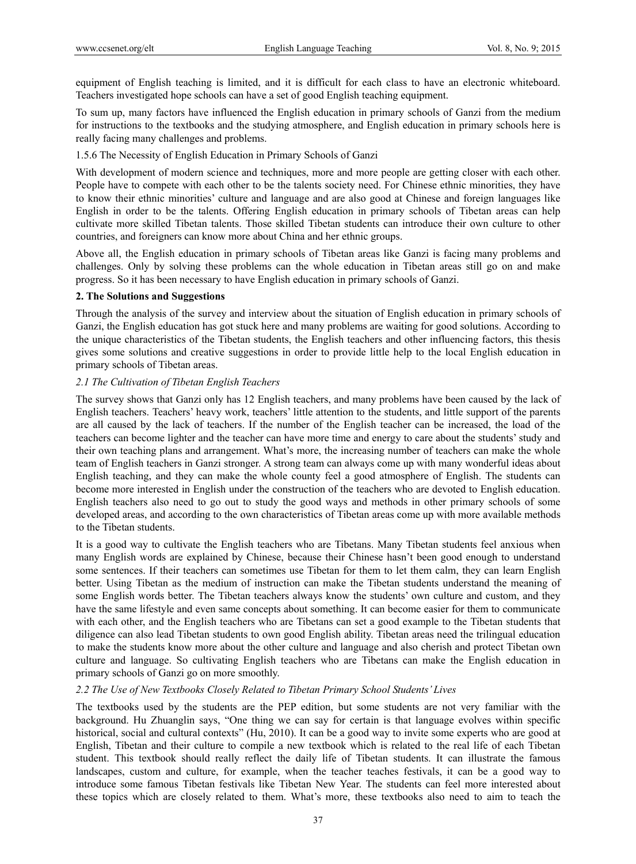equipment of English teaching is limited, and it is difficult for each class to have an electronic whiteboard. Teachers investigated hope schools can have a set of good English teaching equipment.

To sum up, many factors have influenced the English education in primary schools of Ganzi from the medium for instructions to the textbooks and the studying atmosphere, and English education in primary schools here is really facing many challenges and problems.

1.5.6 The Necessity of English Education in Primary Schools of Ganzi

With development of modern science and techniques, more and more people are getting closer with each other. People have to compete with each other to be the talents society need. For Chinese ethnic minorities, they have to know their ethnic minorities' culture and language and are also good at Chinese and foreign languages like English in order to be the talents. Offering English education in primary schools of Tibetan areas can help cultivate more skilled Tibetan talents. Those skilled Tibetan students can introduce their own culture to other countries, and foreigners can know more about China and her ethnic groups.

Above all, the English education in primary schools of Tibetan areas like Ganzi is facing many problems and challenges. Only by solving these problems can the whole education in Tibetan areas still go on and make progress. So it has been necessary to have English education in primary schools of Ganzi.

### **2. The Solutions and Suggestions**

Through the analysis of the survey and interview about the situation of English education in primary schools of Ganzi, the English education has got stuck here and many problems are waiting for good solutions. According to the unique characteristics of the Tibetan students, the English teachers and other influencing factors, this thesis gives some solutions and creative suggestions in order to provide little help to the local English education in primary schools of Tibetan areas.

# *2.1 The Cultivation of Tibetan English Teachers*

The survey shows that Ganzi only has 12 English teachers, and many problems have been caused by the lack of English teachers. Teachers' heavy work, teachers' little attention to the students, and little support of the parents are all caused by the lack of teachers. If the number of the English teacher can be increased, the load of the teachers can become lighter and the teacher can have more time and energy to care about the students' study and their own teaching plans and arrangement. What's more, the increasing number of teachers can make the whole team of English teachers in Ganzi stronger. A strong team can always come up with many wonderful ideas about English teaching, and they can make the whole county feel a good atmosphere of English. The students can become more interested in English under the construction of the teachers who are devoted to English education. English teachers also need to go out to study the good ways and methods in other primary schools of some developed areas, and according to the own characteristics of Tibetan areas come up with more available methods to the Tibetan students.

It is a good way to cultivate the English teachers who are Tibetans. Many Tibetan students feel anxious when many English words are explained by Chinese, because their Chinese hasn't been good enough to understand some sentences. If their teachers can sometimes use Tibetan for them to let them calm, they can learn English better. Using Tibetan as the medium of instruction can make the Tibetan students understand the meaning of some English words better. The Tibetan teachers always know the students' own culture and custom, and they have the same lifestyle and even same concepts about something. It can become easier for them to communicate with each other, and the English teachers who are Tibetans can set a good example to the Tibetan students that diligence can also lead Tibetan students to own good English ability. Tibetan areas need the trilingual education to make the students know more about the other culture and language and also cherish and protect Tibetan own culture and language. So cultivating English teachers who are Tibetans can make the English education in primary schools of Ganzi go on more smoothly.

# *2.2 The Use of New Textbooks Closely Related to Tibetan Primary School Students' Lives*

The textbooks used by the students are the PEP edition, but some students are not very familiar with the background. Hu Zhuanglin says, "One thing we can say for certain is that language evolves within specific historical, social and cultural contexts" (Hu, 2010). It can be a good way to invite some experts who are good at English, Tibetan and their culture to compile a new textbook which is related to the real life of each Tibetan student. This textbook should really reflect the daily life of Tibetan students. It can illustrate the famous landscapes, custom and culture, for example, when the teacher teaches festivals, it can be a good way to introduce some famous Tibetan festivals like Tibetan New Year. The students can feel more interested about these topics which are closely related to them. What's more, these textbooks also need to aim to teach the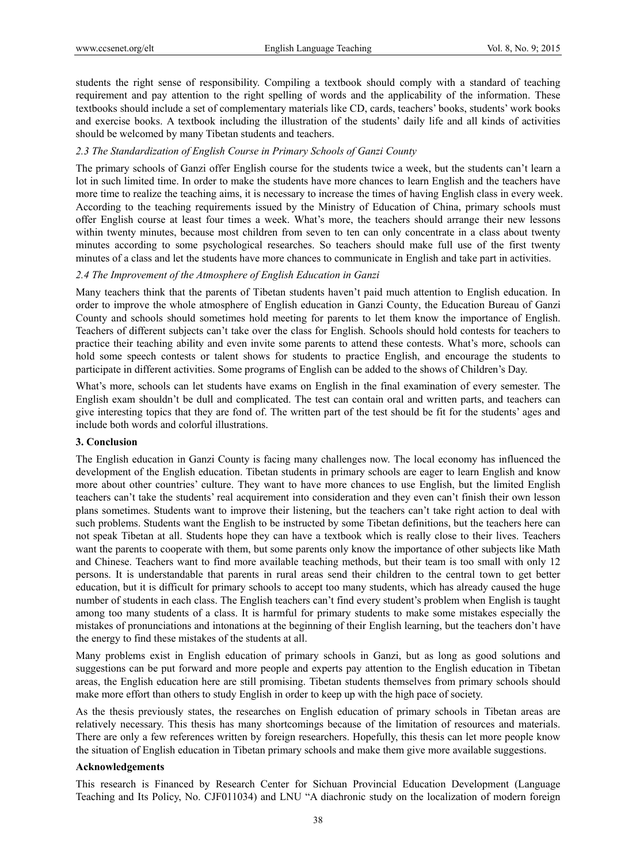students the right sense of responsibility. Compiling a textbook should comply with a standard of teaching requirement and pay attention to the right spelling of words and the applicability of the information. These textbooks should include a set of complementary materials like CD, cards, teachers' books, students' work books and exercise books. A textbook including the illustration of the students' daily life and all kinds of activities should be welcomed by many Tibetan students and teachers.

# *2.3 The Standardization of English Course in Primary Schools of Ganzi County*

The primary schools of Ganzi offer English course for the students twice a week, but the students can't learn a lot in such limited time. In order to make the students have more chances to learn English and the teachers have more time to realize the teaching aims, it is necessary to increase the times of having English class in every week. According to the teaching requirements issued by the Ministry of Education of China, primary schools must offer English course at least four times a week. What's more, the teachers should arrange their new lessons within twenty minutes, because most children from seven to ten can only concentrate in a class about twenty minutes according to some psychological researches. So teachers should make full use of the first twenty minutes of a class and let the students have more chances to communicate in English and take part in activities.

# *2.4 The Improvement of the Atmosphere of English Education in Ganzi*

Many teachers think that the parents of Tibetan students haven't paid much attention to English education. In order to improve the whole atmosphere of English education in Ganzi County, the Education Bureau of Ganzi County and schools should sometimes hold meeting for parents to let them know the importance of English. Teachers of different subjects can't take over the class for English. Schools should hold contests for teachers to practice their teaching ability and even invite some parents to attend these contests. What's more, schools can hold some speech contests or talent shows for students to practice English, and encourage the students to participate in different activities. Some programs of English can be added to the shows of Children's Day.

What's more, schools can let students have exams on English in the final examination of every semester. The English exam shouldn't be dull and complicated. The test can contain oral and written parts, and teachers can give interesting topics that they are fond of. The written part of the test should be fit for the students' ages and include both words and colorful illustrations.

# **3. Conclusion**

The English education in Ganzi County is facing many challenges now. The local economy has influenced the development of the English education. Tibetan students in primary schools are eager to learn English and know more about other countries' culture. They want to have more chances to use English, but the limited English teachers can't take the students' real acquirement into consideration and they even can't finish their own lesson plans sometimes. Students want to improve their listening, but the teachers can't take right action to deal with such problems. Students want the English to be instructed by some Tibetan definitions, but the teachers here can not speak Tibetan at all. Students hope they can have a textbook which is really close to their lives. Teachers want the parents to cooperate with them, but some parents only know the importance of other subjects like Math and Chinese. Teachers want to find more available teaching methods, but their team is too small with only 12 persons. It is understandable that parents in rural areas send their children to the central town to get better education, but it is difficult for primary schools to accept too many students, which has already caused the huge number of students in each class. The English teachers can't find every student's problem when English is taught among too many students of a class. It is harmful for primary students to make some mistakes especially the mistakes of pronunciations and intonations at the beginning of their English learning, but the teachers don't have the energy to find these mistakes of the students at all.

Many problems exist in English education of primary schools in Ganzi, but as long as good solutions and suggestions can be put forward and more people and experts pay attention to the English education in Tibetan areas, the English education here are still promising. Tibetan students themselves from primary schools should make more effort than others to study English in order to keep up with the high pace of society.

As the thesis previously states, the researches on English education of primary schools in Tibetan areas are relatively necessary. This thesis has many shortcomings because of the limitation of resources and materials. There are only a few references written by foreign researchers. Hopefully, this thesis can let more people know the situation of English education in Tibetan primary schools and make them give more available suggestions.

# **Acknowledgements**

This research is Financed by Research Center for Sichuan Provincial Education Development (Language Teaching and Its Policy, No. CJF011034) and LNU "A diachronic study on the localization of modern foreign